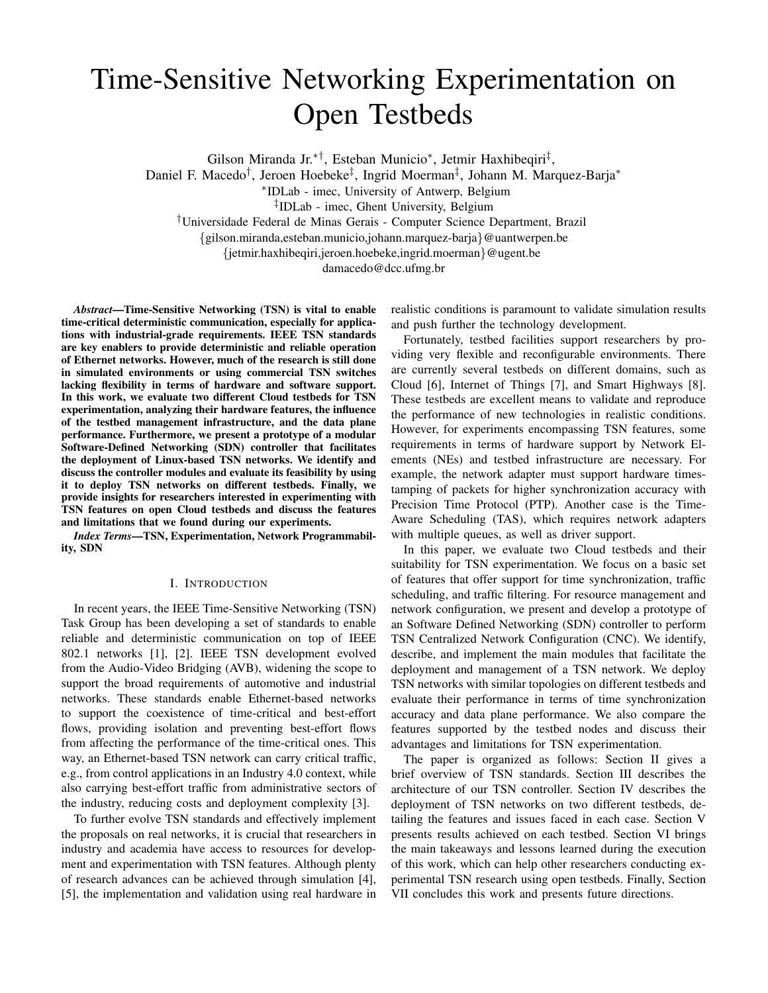# Time-Sensitive Networking Experimentation on Open Testbeds

Gilson Miranda Jr.∗†, Esteban Municio<sup>∗</sup> , Jetmir Haxhibeqiri‡ ,

Daniel F. Macedo† , Jeroen Hoebeke‡ , Ingrid Moerman‡ , Johann M. Marquez-Barja<sup>∗</sup>

∗ IDLab - imec, University of Antwerp, Belgium

‡ IDLab - imec, Ghent University, Belgium

†Universidade Federal de Minas Gerais - Computer Science Department, Brazil

{gilson.miranda,esteban.municio,johann.marquez-barja}@uantwerpen.be

{jetmir.haxhibeqiri,jeroen.hoebeke,ingrid.moerman}@ugent.be

damacedo@dcc.ufmg.br

*Abstract*—Time-Sensitive Networking (TSN) is vital to enable time-critical deterministic communication, especially for applications with industrial-grade requirements. IEEE TSN standards are key enablers to provide deterministic and reliable operation of Ethernet networks. However, much of the research is still done in simulated environments or using commercial TSN switches lacking flexibility in terms of hardware and software support. In this work, we evaluate two different Cloud testbeds for TSN experimentation, analyzing their hardware features, the influence of the testbed management infrastructure, and the data plane performance. Furthermore, we present a prototype of a modular Software-Defined Networking (SDN) controller that facilitates the deployment of Linux-based TSN networks. We identify and discuss the controller modules and evaluate its feasibility by using it to deploy TSN networks on different testbeds. Finally, we provide insights for researchers interested in experimenting with TSN features on open Cloud testbeds and discuss the features and limitations that we found during our experiments.

*Index Terms*—TSN, Experimentation, Network Programmability, SDN

## I. INTRODUCTION

In recent years, the IEEE Time-Sensitive Networking (TSN) Task Group has been developing a set of standards to enable reliable and deterministic communication on top of IEEE 802.1 networks [1], [2]. IEEE TSN development evolved from the Audio-Video Bridging (AVB), widening the scope to support the broad requirements of automotive and industrial networks. These standards enable Ethernet-based networks to support the coexistence of time-critical and best-effort flows, providing isolation and preventing best-effort flows from affecting the performance of the time-critical ones. This way, an Ethernet-based TSN network can carry critical traffic, e.g., from control applications in an Industry 4.0 context, while also carrying best-effort traffic from administrative sectors of the industry, reducing costs and deployment complexity [3].

To further evolve TSN standards and effectively implement the proposals on real networks, it is crucial that researchers in industry and academia have access to resources for development and experimentation with TSN features. Although plenty of research advances can be achieved through simulation [4], [5], the implementation and validation using real hardware in realistic conditions is paramount to validate simulation results and push further the technology development.

Fortunately, testbed facilities support researchers by providing very flexible and reconfigurable environments. There are currently several testbeds on different domains, such as Cloud [6], Internet of Things [7], and Smart Highways [8]. These testbeds are excellent means to validate and reproduce the performance of new technologies in realistic conditions. However, for experiments encompassing TSN features, some requirements in terms of hardware support by Network Elements (NEs) and testbed infrastructure are necessary. For example, the network adapter must support hardware timestamping of packets for higher synchronization accuracy with Precision Time Protocol (PTP). Another case is the Time-Aware Scheduling (TAS), which requires network adapters with multiple queues, as well as driver support.

In this paper, we evaluate two Cloud testbeds and their suitability for TSN experimentation. We focus on a basic set of features that offer support for time synchronization, traffic scheduling, and traffic filtering. For resource management and network configuration, we present and develop a prototype of an Software Defined Networking (SDN) controller to perform TSN Centralized Network Configuration (CNC). We identify, describe, and implement the main modules that facilitate the deployment and management of a TSN network. We deploy TSN networks with similar topologies on different testbeds and evaluate their performance in terms of time synchronization accuracy and data plane performance. We also compare the features supported by the testbed nodes and discuss their advantages and limitations for TSN experimentation.

The paper is organized as follows: Section II gives a brief overview of TSN standards. Section III describes the architecture of our TSN controller. Section IV describes the deployment of TSN networks on two different testbeds, detailing the features and issues faced in each case. Section V presents results achieved on each testbed. Section VI brings the main takeaways and lessons learned during the execution of this work, which can help other researchers conducting experimental TSN research using open testbeds. Finally, Section VII concludes this work and presents future directions.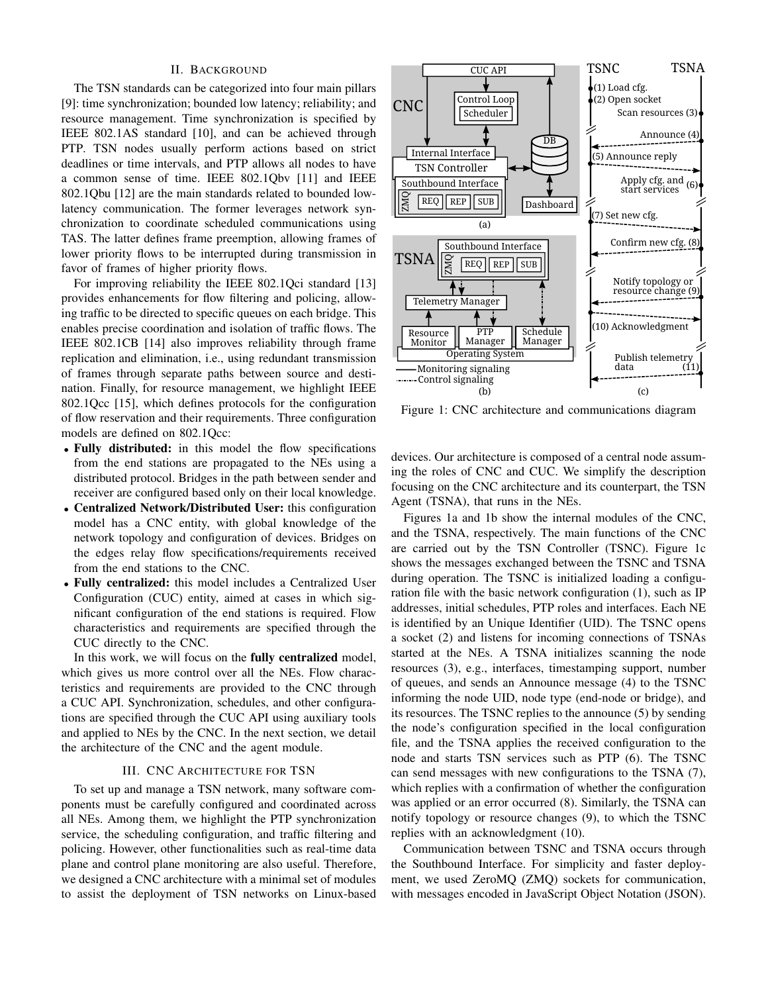# II. BACKGROUND

The TSN standards can be categorized into four main pillars [9]: time synchronization; bounded low latency; reliability; and resource management. Time synchronization is specified by IEEE 802.1AS standard [10], and can be achieved through PTP. TSN nodes usually perform actions based on strict deadlines or time intervals, and PTP allows all nodes to have a common sense of time. IEEE 802.1Qbv [11] and IEEE 802.1Qbu [12] are the main standards related to bounded lowlatency communication. The former leverages network synchronization to coordinate scheduled communications using TAS. The latter defines frame preemption, allowing frames of lower priority flows to be interrupted during transmission in favor of frames of higher priority flows.

For improving reliability the IEEE 802.1Qci standard [13] provides enhancements for flow filtering and policing, allowing traffic to be directed to specific queues on each bridge. This enables precise coordination and isolation of traffic flows. The IEEE 802.1CB [14] also improves reliability through frame replication and elimination, i.e., using redundant transmission of frames through separate paths between source and destination. Finally, for resource management, we highlight IEEE 802.1Qcc [15], which defines protocols for the configuration of flow reservation and their requirements. Three configuration models are defined on 802.1Qcc:

- Fully distributed: in this model the flow specifications from the end stations are propagated to the NEs using a distributed protocol. Bridges in the path between sender and receiver are configured based only on their local knowledge.
- Centralized Network/Distributed User: this configuration model has a CNC entity, with global knowledge of the network topology and configuration of devices. Bridges on the edges relay flow specifications/requirements received from the end stations to the CNC.
- Fully centralized: this model includes a Centralized User Configuration (CUC) entity, aimed at cases in which significant configuration of the end stations is required. Flow characteristics and requirements are specified through the CUC directly to the CNC.

In this work, we will focus on the **fully centralized** model, which gives us more control over all the NEs. Flow characteristics and requirements are provided to the CNC through a CUC API. Synchronization, schedules, and other configurations are specified through the CUC API using auxiliary tools and applied to NEs by the CNC. In the next section, we detail the architecture of the CNC and the agent module.

# III. CNC ARCHITECTURE FOR TSN

To set up and manage a TSN network, many software components must be carefully configured and coordinated across all NEs. Among them, we highlight the PTP synchronization service, the scheduling configuration, and traffic filtering and policing. However, other functionalities such as real-time data plane and control plane monitoring are also useful. Therefore, we designed a CNC architecture with a minimal set of modules to assist the deployment of TSN networks on Linux-based



Figure 1: CNC architecture and communications diagram

devices. Our architecture is composed of a central node assuming the roles of CNC and CUC. We simplify the description focusing on the CNC architecture and its counterpart, the TSN Agent (TSNA), that runs in the NEs.

Figures 1a and 1b show the internal modules of the CNC, and the TSNA, respectively. The main functions of the CNC are carried out by the TSN Controller (TSNC). Figure 1c shows the messages exchanged between the TSNC and TSNA during operation. The TSNC is initialized loading a configuration file with the basic network configuration (1), such as IP addresses, initial schedules, PTP roles and interfaces. Each NE is identified by an Unique Identifier (UID). The TSNC opens a socket (2) and listens for incoming connections of TSNAs started at the NEs. A TSNA initializes scanning the node resources (3), e.g., interfaces, timestamping support, number of queues, and sends an Announce message (4) to the TSNC informing the node UID, node type (end-node or bridge), and its resources. The TSNC replies to the announce (5) by sending the node's configuration specified in the local configuration file, and the TSNA applies the received configuration to the node and starts TSN services such as PTP (6). The TSNC can send messages with new configurations to the TSNA (7), which replies with a confirmation of whether the configuration was applied or an error occurred (8). Similarly, the TSNA can notify topology or resource changes (9), to which the TSNC replies with an acknowledgment (10).

Communication between TSNC and TSNA occurs through the Southbound Interface. For simplicity and faster deployment, we used ZeroMQ (ZMQ) sockets for communication, with messages encoded in JavaScript Object Notation (JSON).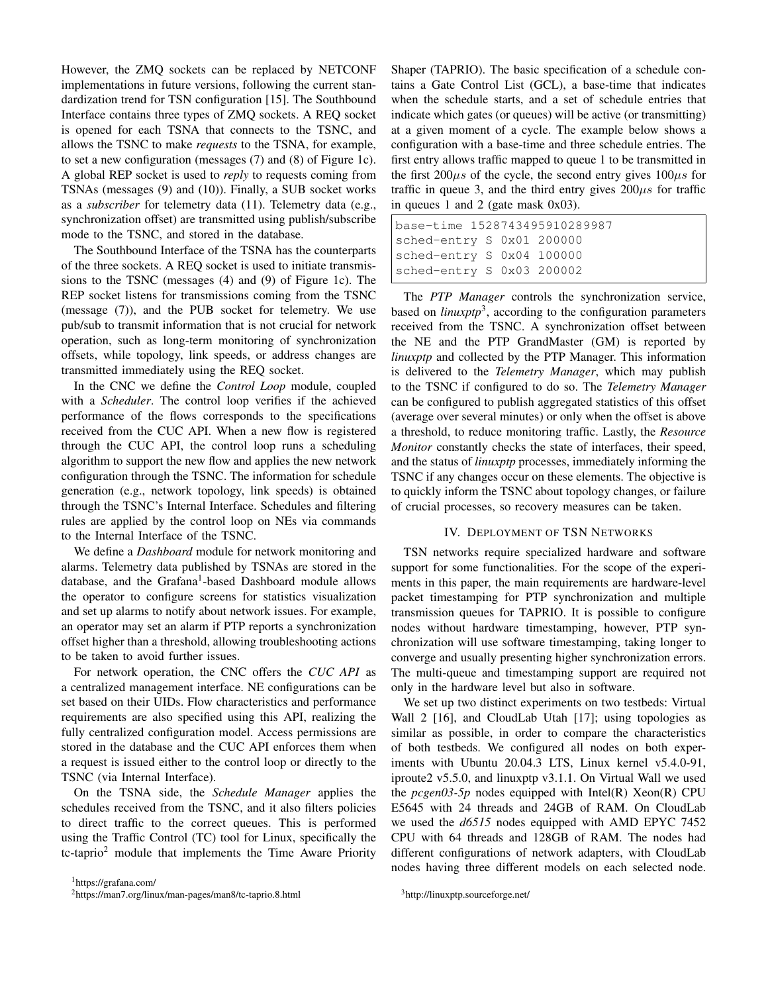However, the ZMQ sockets can be replaced by NETCONF implementations in future versions, following the current standardization trend for TSN configuration [15]. The Southbound Interface contains three types of ZMQ sockets. A REQ socket is opened for each TSNA that connects to the TSNC, and allows the TSNC to make *requests* to the TSNA, for example, to set a new configuration (messages (7) and (8) of Figure 1c). A global REP socket is used to *reply* to requests coming from TSNAs (messages (9) and (10)). Finally, a SUB socket works as a *subscriber* for telemetry data (11). Telemetry data (e.g., synchronization offset) are transmitted using publish/subscribe mode to the TSNC, and stored in the database.

The Southbound Interface of the TSNA has the counterparts of the three sockets. A REQ socket is used to initiate transmissions to the TSNC (messages (4) and (9) of Figure 1c). The REP socket listens for transmissions coming from the TSNC (message (7)), and the PUB socket for telemetry. We use pub/sub to transmit information that is not crucial for network operation, such as long-term monitoring of synchronization offsets, while topology, link speeds, or address changes are transmitted immediately using the REQ socket.

In the CNC we define the *Control Loop* module, coupled with a *Scheduler*. The control loop verifies if the achieved performance of the flows corresponds to the specifications received from the CUC API. When a new flow is registered through the CUC API, the control loop runs a scheduling algorithm to support the new flow and applies the new network configuration through the TSNC. The information for schedule generation (e.g., network topology, link speeds) is obtained through the TSNC's Internal Interface. Schedules and filtering rules are applied by the control loop on NEs via commands to the Internal Interface of the TSNC.

We define a *Dashboard* module for network monitoring and alarms. Telemetry data published by TSNAs are stored in the database, and the Grafana<sup>1</sup>-based Dashboard module allows the operator to configure screens for statistics visualization and set up alarms to notify about network issues. For example, an operator may set an alarm if PTP reports a synchronization offset higher than a threshold, allowing troubleshooting actions to be taken to avoid further issues.

For network operation, the CNC offers the *CUC API* as a centralized management interface. NE configurations can be set based on their UIDs. Flow characteristics and performance requirements are also specified using this API, realizing the fully centralized configuration model. Access permissions are stored in the database and the CUC API enforces them when a request is issued either to the control loop or directly to the TSNC (via Internal Interface).

On the TSNA side, the *Schedule Manager* applies the schedules received from the TSNC, and it also filters policies to direct traffic to the correct queues. This is performed using the Traffic Control (TC) tool for Linux, specifically the tc-taprio<sup>2</sup> module that implements the Time Aware Priority

<sup>1</sup>https://grafana.com/

<sup>2</sup>https://man7.org/linux/man-pages/man8/tc-taprio.8.html

Shaper (TAPRIO). The basic specification of a schedule contains a Gate Control List (GCL), a base-time that indicates when the schedule starts, and a set of schedule entries that indicate which gates (or queues) will be active (or transmitting) at a given moment of a cycle. The example below shows a configuration with a base-time and three schedule entries. The first entry allows traffic mapped to queue 1 to be transmitted in the first  $200\mu s$  of the cycle, the second entry gives  $100\mu s$  for traffic in queue 3, and the third entry gives  $200\mu s$  for traffic in queues 1 and 2 (gate mask 0x03).

|                           | base-time 1528743495910289987 |  |  |  |  |  |  |
|---------------------------|-------------------------------|--|--|--|--|--|--|
| sched-entry S 0x01 200000 |                               |  |  |  |  |  |  |
| sched-entry S 0x04 100000 |                               |  |  |  |  |  |  |
| sched-entry S 0x03 200002 |                               |  |  |  |  |  |  |

The *PTP Manager* controls the synchronization service, based on *linuxptp*<sup>3</sup>, according to the configuration parameters received from the TSNC. A synchronization offset between the NE and the PTP GrandMaster (GM) is reported by *linuxptp* and collected by the PTP Manager. This information is delivered to the *Telemetry Manager*, which may publish to the TSNC if configured to do so. The *Telemetry Manager* can be configured to publish aggregated statistics of this offset (average over several minutes) or only when the offset is above a threshold, to reduce monitoring traffic. Lastly, the *Resource Monitor* constantly checks the state of interfaces, their speed, and the status of *linuxptp* processes, immediately informing the TSNC if any changes occur on these elements. The objective is to quickly inform the TSNC about topology changes, or failure of crucial processes, so recovery measures can be taken.

### IV. DEPLOYMENT OF TSN NETWORKS

TSN networks require specialized hardware and software support for some functionalities. For the scope of the experiments in this paper, the main requirements are hardware-level packet timestamping for PTP synchronization and multiple transmission queues for TAPRIO. It is possible to configure nodes without hardware timestamping, however, PTP synchronization will use software timestamping, taking longer to converge and usually presenting higher synchronization errors. The multi-queue and timestamping support are required not only in the hardware level but also in software.

We set up two distinct experiments on two testbeds: Virtual Wall 2 [16], and CloudLab Utah [17]; using topologies as similar as possible, in order to compare the characteristics of both testbeds. We configured all nodes on both experiments with Ubuntu 20.04.3 LTS, Linux kernel v5.4.0-91, iproute2 v5.5.0, and linuxptp v3.1.1. On Virtual Wall we used the *pcgen03-5p* nodes equipped with Intel(R) Xeon(R) CPU E5645 with 24 threads and 24GB of RAM. On CloudLab we used the *d6515* nodes equipped with AMD EPYC 7452 CPU with 64 threads and 128GB of RAM. The nodes had different configurations of network adapters, with CloudLab nodes having three different models on each selected node.

<sup>3</sup>http://linuxptp.sourceforge.net/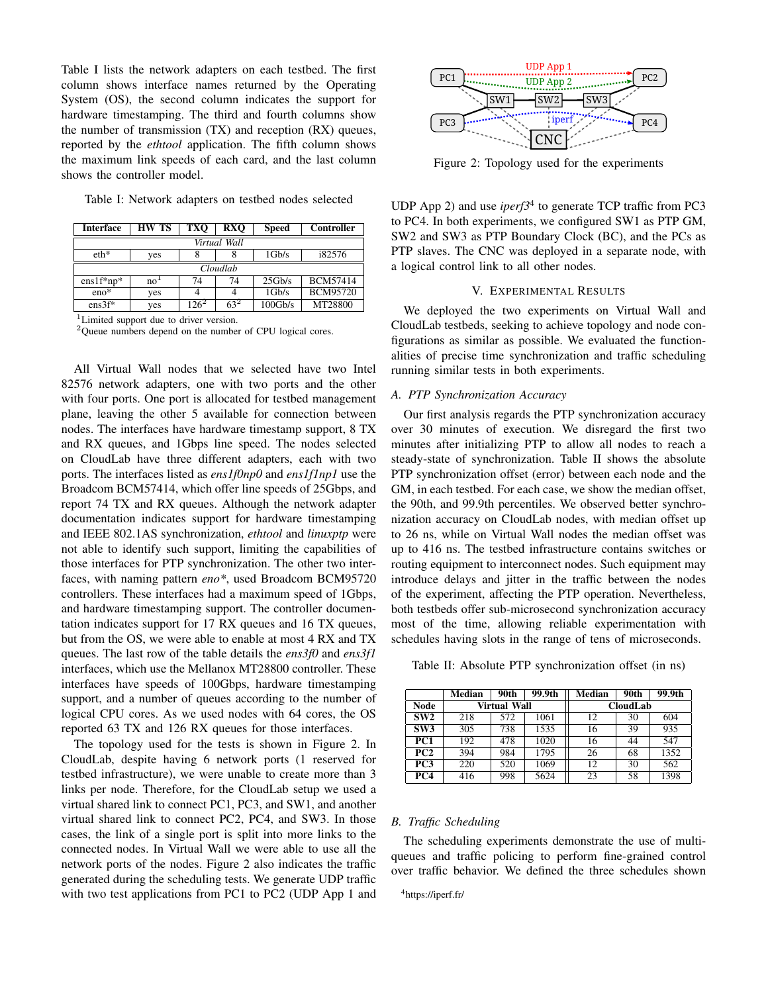Table I lists the network adapters on each testbed. The first column shows interface names returned by the Operating System (OS), the second column indicates the support for hardware timestamping. The third and fourth columns show the number of transmission (TX) and reception (RX) queues, reported by the *ethtool* application. The fifth column shows the maximum link speeds of each card, and the last column shows the controller model.

Table I: Network adapters on testbed nodes selected

| <b>Interface</b> | <b>HW TS</b>    | <b>TXO</b> | <b>RXO</b> | Speed   | Controller      |  |  |  |  |  |  |
|------------------|-----------------|------------|------------|---------|-----------------|--|--|--|--|--|--|
| Virtual Wall     |                 |            |            |         |                 |  |  |  |  |  |  |
| $eth*$           | yes             |            |            | 1Gb/s   | i82576          |  |  |  |  |  |  |
| Cloudlab         |                 |            |            |         |                 |  |  |  |  |  |  |
| $ens1f*np*$      | no <sup>1</sup> | 74         | 74         | 25Gb/s  | <b>BCM57414</b> |  |  |  |  |  |  |
| $eno*$           | yes             | 4          | 4          | 1Gb/s   | <b>BCM95720</b> |  |  |  |  |  |  |
| $ens3f*$         | yes             | 1262       | $63^2$     | 100Gb/s | MT28800         |  |  |  |  |  |  |

<sup>1</sup>Limited support due to driver version.

<sup>2</sup>Queue numbers depend on the number of CPU logical cores.

All Virtual Wall nodes that we selected have two Intel 82576 network adapters, one with two ports and the other with four ports. One port is allocated for testbed management plane, leaving the other 5 available for connection between nodes. The interfaces have hardware timestamp support, 8 TX and RX queues, and 1Gbps line speed. The nodes selected on CloudLab have three different adapters, each with two ports. The interfaces listed as *ens1f0np0* and *ens1f1np1* use the Broadcom BCM57414, which offer line speeds of 25Gbps, and report 74 TX and RX queues. Although the network adapter documentation indicates support for hardware timestamping and IEEE 802.1AS synchronization, *ethtool* and *linuxptp* were not able to identify such support, limiting the capabilities of those interfaces for PTP synchronization. The other two interfaces, with naming pattern *eno\**, used Broadcom BCM95720 controllers. These interfaces had a maximum speed of 1Gbps, and hardware timestamping support. The controller documentation indicates support for 17 RX queues and 16 TX queues, but from the OS, we were able to enable at most 4 RX and TX queues. The last row of the table details the *ens3f0* and *ens3f1* interfaces, which use the Mellanox MT28800 controller. These interfaces have speeds of 100Gbps, hardware timestamping support, and a number of queues according to the number of logical CPU cores. As we used nodes with 64 cores, the OS reported 63 TX and 126 RX queues for those interfaces. Table the actrove dealer and the state appear by the state and other interactions from PC1 to PC1 to PC1 to PC1 to PC1 to PC1 to PC1 to PC1 to PC1 to PC1 to PC1 to PC1 to PC1 to PC1 to PC1 to PC1 to PC1 to PC1 to PC1 to P

The topology used for the tests is shown in Figure 2. In CloudLab, despite having 6 network ports (1 reserved for testbed infrastructure), we were unable to create more than 3 links per node. Therefore, for the CloudLab setup we used a virtual shared link to connect PC1, PC3, and SW1, and another virtual shared link to connect PC2, PC4, and SW3. In those cases, the link of a single port is split into more links to the connected nodes. In Virtual Wall we were able to use all the network ports of the nodes. Figure 2 also indicates the traffic generated during the scheduling tests. We generate UDP traffic



Figure 2: Topology used for the experiments

UDP App 2) and use *iperf3*<sup>4</sup> to generate TCP traffic from PC3 to PC4. In both experiments, we configured SW1 as PTP GM, SW2 and SW3 as PTP Boundary Clock (BC), and the PCs as PTP slaves. The CNC was deployed in a separate node, with a logical control link to all other nodes.

# V. EXPERIMENTAL RESULTS

We deployed the two experiments on Virtual Wall and CloudLab testbeds, seeking to achieve topology and node configurations as similar as possible. We evaluated the functionalities of precise time synchronization and traffic scheduling running similar tests in both experiments.

# *A. PTP Synchronization Accuracy*

Our first analysis regards the PTP synchronization accuracy over 30 minutes of execution. We disregard the first two minutes after initializing PTP to allow all nodes to reach a steady-state of synchronization. Table II shows the absolute PTP synchronization offset (error) between each node and the GM, in each testbed. For each case, we show the median offset, the 90th, and 99.9th percentiles. We observed better synchronization accuracy on CloudLab nodes, with median offset up to 26 ns, while on Virtual Wall nodes the median offset was up to 416 ns. The testbed infrastructure contains switches or routing equipment to interconnect nodes. Such equipment may introduce delays and jitter in the traffic between the nodes of the experiment, affecting the PTP operation. Nevertheless, both testbeds offer sub-microsecond synchronization accuracy most of the time, allowing reliable experimentation with schedules having slots in the range of tens of microseconds.

Table II: Absolute PTP synchronization offset (in ns)

|             | Median | 90th         | 99.9th | <b>Median</b>   | 90th | 99.9th |  |
|-------------|--------|--------------|--------|-----------------|------|--------|--|
| <b>Node</b> |        | Virtual Wall |        | <b>CloudLab</b> |      |        |  |
| SW2         | 218    | 572          | 1061   | 12              | 30   | 604    |  |
| SW3         | 305    | 738          | 1535   | 16              | 39   | 935    |  |
| PC1         | 192    | 478          | 1020   | 16              | 44   | 547    |  |
| PC2         | 394    | 984          | 1795   | 26              | 68   | 1352   |  |
| PC3         | 220    | 520          | 1069   | 12              | 30   | 562    |  |
| PC4         | 416    | 998          | 5624   | 23              | 58   | 1398   |  |

# *B. Traffic Scheduling*

The scheduling experiments demonstrate the use of multiqueues and traffic policing to perform fine-grained control over traffic behavior. We defined the three schedules shown

<sup>4</sup>https://iperf.fr/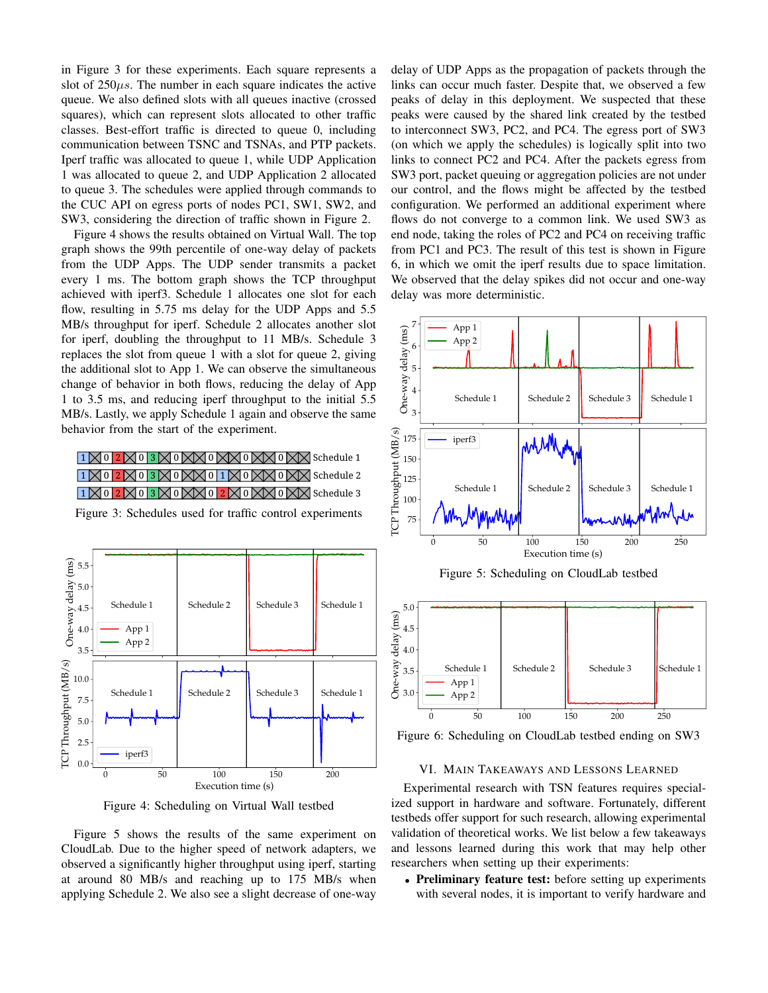in Figure 3 for these experiments. Each square represents a slot of  $250\mu s$ . The number in each square indicates the active queue. We also defined slots with all queues inactive (crossed squares), which can represent slots allocated to other traffic classes. Best-effort traffic is directed to queue 0, including communication between TSNC and TSNAs, and PTP packets. Iperf traffic was allocated to queue 1, while UDP Application 1 was allocated to queue 2, and UDP Application 2 allocated to queue 3. The schedules were applied through commands to the CUC API on egress ports of nodes PC1, SW1, SW2, and SW3, considering the direction of traffic shown in Figure 2.

Figure 4 shows the results obtained on Virtual Wall. The top graph shows the 99th percentile of one-way delay of packets from the UDP Apps. The UDP sender transmits a packet every 1 ms. The bottom graph shows the TCP throughput achieved with iperf3. Schedule 1 allocates one slot for each flow, resulting in 5.75 ms delay for the UDP Apps and 5.5 MB/s throughput for iperf. Schedule 2 allocates another slot for iperf, doubling the throughput to 11 MB/s. Schedule 3 replaces the slot from queue 1 with a slot for queue 2, giving the additional slot to App 1. We can observe the simultaneous change of behavior in both flows, reducing the delay of App 1 to 3.5 ms, and reducing iperf throughput to the initial 5.5 MB/s. Lastly, we apply Schedule 1 again and observe the same behavior from the start of the experiment.

1 |  $\otimes$  0 | 2 |  $\otimes$  | 3 |  $\otimes$  | 0 |  $\otimes$  |  $\otimes$  | 0 |  $\otimes$  |  $\otimes$  |  $\otimes$  |  $\otimes$  |  $\otimes$  |  $\otimes$  |  $\otimes$  |  $\otimes$  |  $\otimes$  |  $\otimes$  |  $\otimes$  |  $\otimes$  |  $\otimes$  |  $\otimes$  |  $\otimes$  |  $\otimes$  |  $\otimes$  |  $\otimes$  |  $\otimes$  |  $\otimes$  | 1  $\boxtimes$  0  $\boxtimes$  1 3  $\boxtimes$  0  $\boxtimes$  1  $\boxtimes$  0  $\boxtimes$  1  $\boxtimes$  0  $\boxtimes$  Schedule 2 1  $\boxtimes$  0  $\boxtimes$  0  $\boxtimes$  3  $\boxtimes$  0  $\boxtimes$   $\boxtimes$  0  $\boxtimes$   $\boxtimes$  0  $\boxtimes$   $\boxtimes$  0  $\boxtimes$   $\boxtimes$  Schedule 3





Figure 4: Scheduling on Virtual Wall testbed

Figure 5 shows the results of the same experiment on CloudLab. Due to the higher speed of network adapters, we observed a significantly higher throughput using iperf, starting at around 80 MB/s and reaching up to 175 MB/s when applying Schedule 2. We also see a slight decrease of one-way delay of UDP Apps as the propagation of packets through the links can occur much faster. Despite that, we observed a few peaks of delay in this deployment. We suspected that these peaks were caused by the shared link created by the testbed to interconnect SW3, PC2, and PC4. The egress port of SW3 (on which we apply the schedules) is logically split into two links to connect PC2 and PC4. After the packets egress from SW3 port, packet queuing or aggregation policies are not under our control, and the flows might be affected by the testbed configuration. We performed an additional experiment where flows do not converge to a common link. We used SW3 as end node, taking the roles of PC2 and PC4 on receiving traffic from PC1 and PC3. The result of this test is shown in Figure 6, in which we omit the iperf results due to space limitation. We observed that the delay spikes did not occur and one-way delay was more deterministic.





Figure 6: Scheduling on CloudLab testbed ending on SW3

## VI. MAIN TAKEAWAYS AND LESSONS LEARNED

Experimental research with TSN features requires specialized support in hardware and software. Fortunately, different testbeds offer support for such research, allowing experimental validation of theoretical works. We list below a few takeaways and lessons learned during this work that may help other researchers when setting up their experiments:

• Preliminary feature test: before setting up experiments with several nodes, it is important to verify hardware and